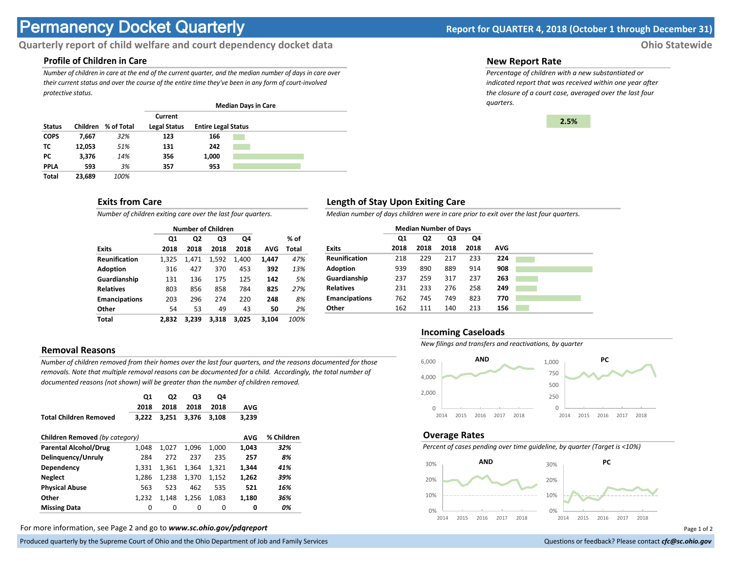# **Permanency Docket Quarterly Report for QUARTER 4, 2018 (October 1 through December 31)**

# **Quarterly report of child welfare and court dependency docket data Ohio Statewide**

# **Profile of Children in Care**

*Number of children in care at the end of the current quarter, and the median number of days in care over their current status and over the course of the entire time they've been in any form of court-involved protective status.*

|               |          |            |                                |                            | <b>Median Days in Care</b> |  |
|---------------|----------|------------|--------------------------------|----------------------------|----------------------------|--|
| <b>Status</b> | Children | % of Total | Current<br><b>Legal Status</b> | <b>Entire Legal Status</b> |                            |  |
| <b>COPS</b>   | 7,667    | 32%        | 123                            | 166                        |                            |  |
| тс            | 12.053   | 51%        | 131                            | 242                        |                            |  |
| РC            | 3.376    | 14%        | 356                            | 1,000                      |                            |  |
| <b>PPLA</b>   | 593      | 3%         | 357                            | 953                        |                            |  |
| <b>Total</b>  | 23.689   | 100%       |                                |                            |                            |  |

## **Exits from Care**

*Number of children exiting care over the last four quarters.*

|                      |                | <b>Number of Children</b> |       |       |       |       |
|----------------------|----------------|---------------------------|-------|-------|-------|-------|
|                      | Q <sub>1</sub> | Q2                        | Q3    | Q4    |       | % of  |
| <b>Exits</b>         | 2018           | 2018                      | 2018  | 2018  | AVG   | Total |
| <b>Reunification</b> | 1.325          | 1,471                     | 1,592 | 1.400 | 1,447 | 47%   |
| <b>Adoption</b>      | 316            | 427                       | 370   | 453   | 392   | 13%   |
| Guardianship         | 131            | 136                       | 175   | 125   | 142   | 5%    |
| <b>Relatives</b>     | 803            | 856                       | 858   | 784   | 825   | 27%   |
| <b>Emancipations</b> | 203            | 296                       | 274   | 220   | 248   | 8%    |
| Other                | 54             | 53                        | 49    | 43    | 50    | 2%    |
| Total                | 2.832          | 3.239                     | 3.318 | 3.025 | 3.104 | 100%  |

# **Removal Reasons**

*Number of children removed from their homes over the last four quarters, and the reasons documented for those removals. Note that multiple removal reasons can be documented for a child. Accordingly, the total number of documented reasons (not shown) will be greater than the number of children removed.* 

|                                | Q1<br>2018 | Q2<br>2018 | Q3<br>2018 | Q4<br>2018 | <b>AVG</b> |            |
|--------------------------------|------------|------------|------------|------------|------------|------------|
| <b>Total Children Removed</b>  | 3.222      | 3.251      | 3,376      | 3.108      | 3,239      |            |
| Children Removed (by category) |            |            |            |            | <b>AVG</b> | % Children |
| <b>Parental Alcohol/Drug</b>   | 1.048      | 1.027      | 1.096      | 1.000      | 1,043      | 32%        |
| Delinguency/Unruly             | 284        | 272        | 237        | 235        | 257        | 8%         |
| Dependency                     | 1.331      | 1.361      | 1.364      | 1.321      | 1.344      | 41%        |
| <b>Neglect</b>                 | 1.286      | 1.238      | 1.370      | 1,152      | 1.262      | 39%        |
| <b>Physical Abuse</b>          | 563        | 523        | 462        | 535        | 521        | 16%        |
| Other                          | 1.232      | 1.148      | 1,256      | 1,083      | 1,180      | 36%        |
| <b>Missing Data</b>            | 0          | 0          | 0          | 0          | 0          | 0%         |

For more information, see Page 2 and go to *www.sc.ohio.gov/pdqreport* Page 1 of 2

Produced quarterly by the Supreme Court of Ohio and the Ohio Department of Job and Family Services **Department** of *Services* Court of Ohio and the Ohio Department of Job and Family Services **Communist Court of Court of Co** 

#### **New Report Rate**

*Percentage of children with a new substantiated or indicated report that was received within one year after the closure of a court case, averaged over the last four quarters.*



# **Length of Stay Upon Exiting Care**

*Median number of days children were in care prior to exit over the last four quarters.*

|                      | <b>Median Number of Days</b> |                |      |      |            |
|----------------------|------------------------------|----------------|------|------|------------|
|                      | Q1                           | Q <sub>2</sub> | Q3   | Q4   |            |
| <b>Exits</b>         | 2018                         | 2018           | 2018 | 2018 | <b>AVG</b> |
| <b>Reunification</b> | 218                          | 229            | 217  | 233  | 224        |
| <b>Adoption</b>      | 939                          | 890            | 889  | 914  | 908        |
| Guardianship         | 237                          | 259            | 317  | 237  | 263        |
| <b>Relatives</b>     | 231                          | 233            | 276  | 258  | 249        |
| <b>Emancipations</b> | 762                          | 745            | 749  | 823  | 770        |
| Other                | 162                          | 111            | 140  | 213  | 156        |

#### **Incoming Caseloads**

*New filings and transfers and reactivations, by quarter*



#### **Overage Rates**

*Percent of cases pending over time guideline, by quarter (Target is <10%)*